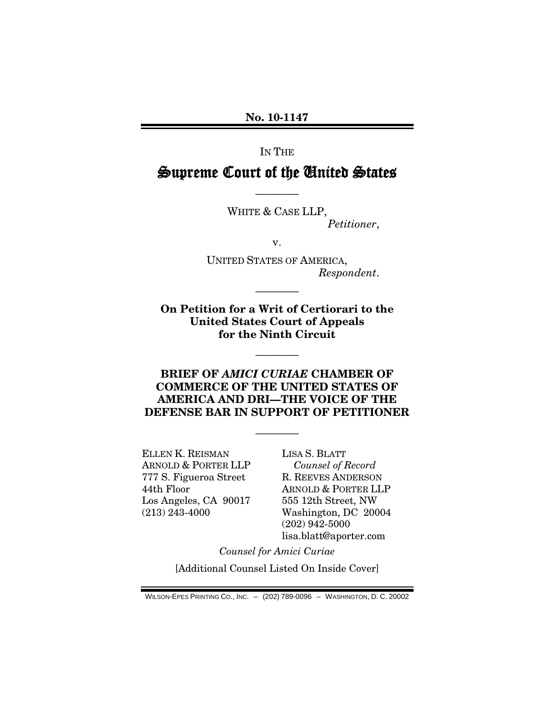**No. 10-1147**

IN THE

# Supreme Court of the United States

————

WHITE & CASE LLP, *Petitioner*,

v.

UNITED STATES OF AMERICA, *Respondent*.

**On Petition for a Writ of Certiorari to the United States Court of Appeals for the Ninth Circuit**

————

————

## **BRIEF OF** *AMICI CURIAE* **CHAMBER OF COMMERCE OF THE UNITED STATES OF AMERICA AND DRI—THE VOICE OF THE DEFENSE BAR IN SUPPORT OF PETITIONER**

————

ELLEN K. REISMAN ARNOLD & PORTER LLP 777 S. Figueroa Street 44th Floor Los Angeles, CA 90017 (213) 243-4000

LISA S. BLATT *Counsel of Record* R. REEVES ANDERSON ARNOLD & PORTER LLP 555 12th Street, NW Washington, DC 20004 (202) 942-5000 lisa.blatt@aporter.com

*Counsel for Amici Curiae*

[Additional Counsel Listed On Inside Cover]

WILSON-EPES PRINTING CO., INC. – (202) 789-0096 – WASHINGTON, D. C. 20002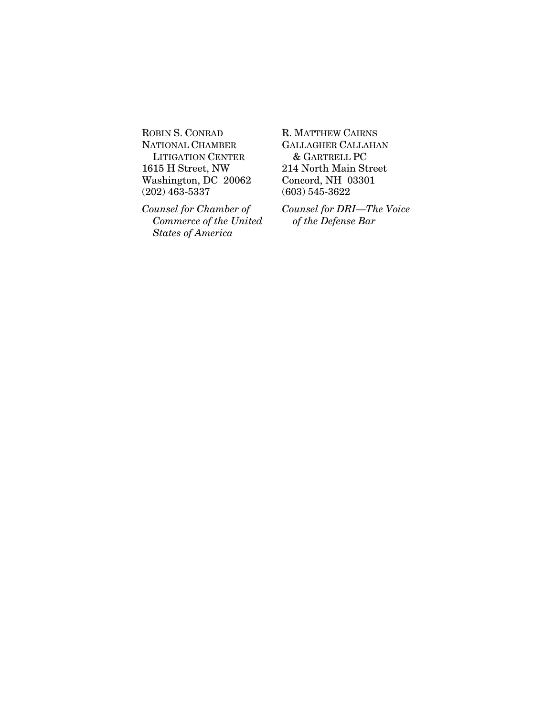ROBIN S. CONRAD NATIONAL CHAMBER LITIGATION CENTER 1615 H Street, NW Washington, DC 20062 (202) 463-5337

*Counsel for Chamber of Commerce of the United States of America*

R. MATTHEW CAIRNS GALLAGHER CALLAHAN & GARTRELL PC 214 North Main Street Concord, NH 03301 (603) 545-3622

*Counsel for DRI—The Voice of the Defense Bar*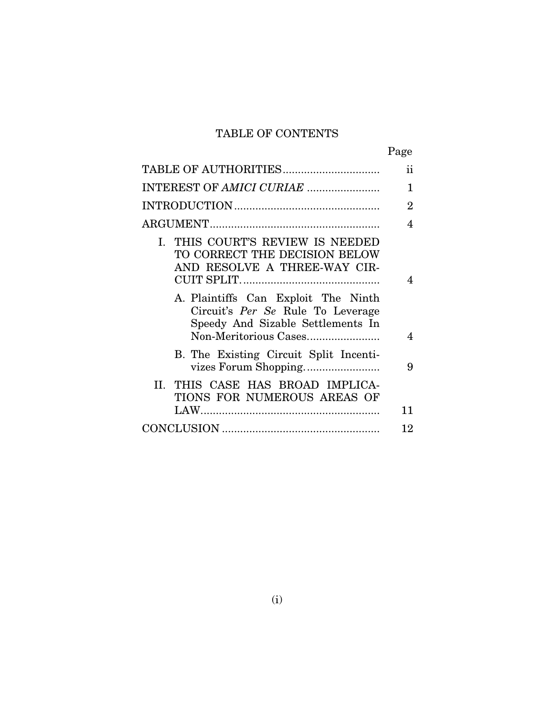# TABLE OF CONTENTS

|                                                                                                               | Page           |
|---------------------------------------------------------------------------------------------------------------|----------------|
| TABLE OF AUTHORITIES                                                                                          | $\mathbf{ii}$  |
| INTEREST OF AMICI CURIAE                                                                                      | 1              |
|                                                                                                               | $\overline{2}$ |
|                                                                                                               | $\overline{4}$ |
| I. THIS COURT'S REVIEW IS NEEDED<br>TO CORRECT THE DECISION BELOW<br>AND RESOLVE A THREE-WAY CIR-             | 4              |
| A. Plaintiffs Can Exploit The Ninth<br>Circuit's Per Se Rule To Leverage<br>Speedy And Sizable Settlements In | 4              |
| B. The Existing Circuit Split Incenti-                                                                        | 9              |
| II. THIS CASE HAS BROAD IMPLICA-<br>TIONS FOR NUMEROUS AREAS OF                                               |                |
|                                                                                                               | 11             |
|                                                                                                               | 12             |
|                                                                                                               |                |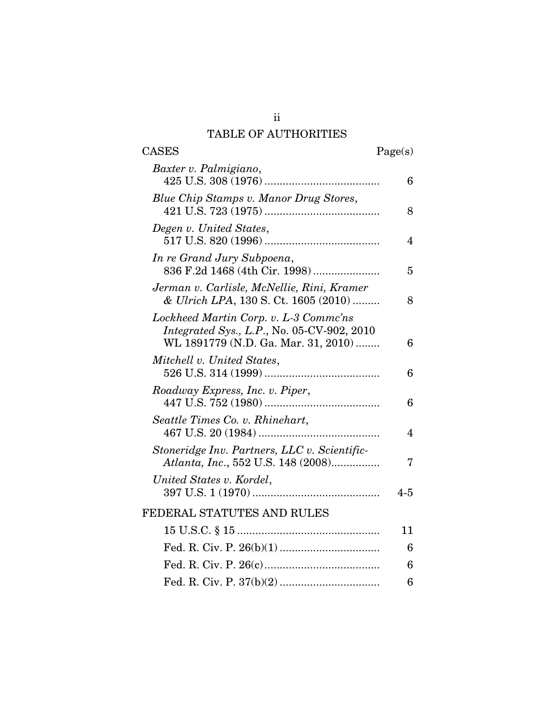# TABLE OF AUTHORITIES

| <b>CASES</b>                                                                                                               | Page(s)                 |
|----------------------------------------------------------------------------------------------------------------------------|-------------------------|
| Baxter v. Palmigiano,                                                                                                      | 6                       |
| Blue Chip Stamps v. Manor Drug Stores,                                                                                     | 8                       |
| Degen v. United States,                                                                                                    | 4                       |
| In re Grand Jury Subpoena,<br>836 F.2d 1468 (4th Cir. 1998)                                                                | 5                       |
| Jerman v. Carlisle, McNellie, Rini, Kramer<br>& Ulrich LPA, 130 S. Ct. 1605 (2010)                                         | 8                       |
| Lockheed Martin Corp. v. L-3 Commc'ns<br>Integrated Sys., L.P., No. 05-CV-902, 2010<br>WL 1891779 (N.D. Ga. Mar. 31, 2010) | 6                       |
| Mitchell v. United States,                                                                                                 | 6                       |
| Roadway Express, Inc. v. Piper,                                                                                            | 6                       |
| Seattle Times Co. v. Rhinehart,                                                                                            | $\overline{\mathbf{4}}$ |
| Stoneridge Inv. Partners, LLC v. Scientific-<br>Atlanta, Inc., 552 U.S. 148 (2008)                                         | 7                       |
| United States v. Kordel,                                                                                                   | $4 - 5$                 |
| FEDERAL STATUTES AND RULES                                                                                                 |                         |
|                                                                                                                            | 11                      |
|                                                                                                                            | 6                       |
|                                                                                                                            | 6                       |
|                                                                                                                            | 6                       |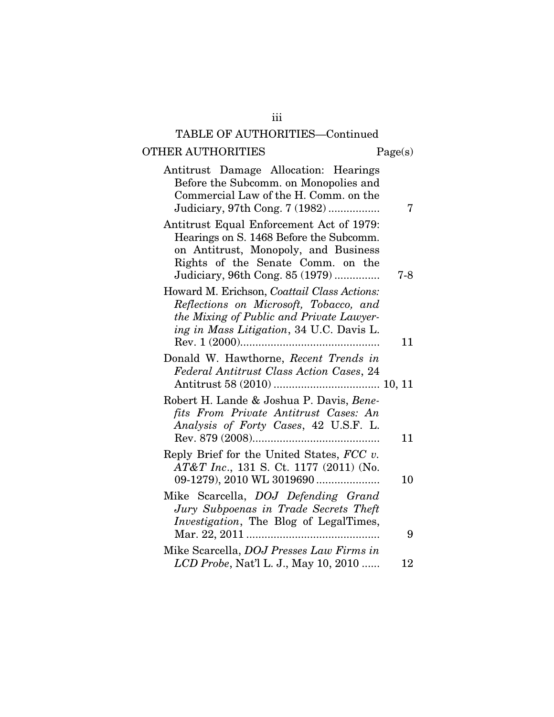# TABLE OF AUTHORITIES—Continued

iii

# ${\bf OTHER~AUTHORITIES} \hspace{2.0cm} {\bf Page(s)}$

| Antitrust Damage Allocation: Hearings<br>Before the Subcomm. on Monopolies and<br>Commercial Law of the H. Comm. on the<br>Judiciary, 97th Cong. 7 (1982)                                           | 7   |
|-----------------------------------------------------------------------------------------------------------------------------------------------------------------------------------------------------|-----|
| Antitrust Equal Enforcement Act of 1979:<br>Hearings on S. 1468 Before the Subcomm.<br>on Antitrust, Monopoly, and Business<br>Rights of the Senate Comm. on the<br>Judiciary, 96th Cong. 85 (1979) | 7-8 |
| Howard M. Erichson, Coattail Class Actions:<br>Reflections on Microsoft, Tobacco, and<br>the Mixing of Public and Private Lawyer-<br>ing in Mass Litigation, 34 U.C. Davis L.                       | 11  |
| Donald W. Hawthorne, Recent Trends in<br>Federal Antitrust Class Action Cases, 24                                                                                                                   |     |
| Robert H. Lande & Joshua P. Davis, Bene-<br>fits From Private Antitrust Cases: An<br>Analysis of Forty Cases, 42 U.S.F. L.                                                                          | 11  |
| Reply Brief for the United States, $FCC$ v.<br>AT&T Inc., 131 S. Ct. 1177 (2011) (No.                                                                                                               | 10  |
| Mike Scarcella, DOJ Defending Grand<br>Jury Subpoenas in Trade Secrets Theft<br>Investigation, The Blog of LegalTimes,                                                                              |     |
| Mike Scarcella, DOJ Presses Law Firms in                                                                                                                                                            | 9   |
| LCD Probe, Nat'l L. J., May 10, 2010                                                                                                                                                                | 12  |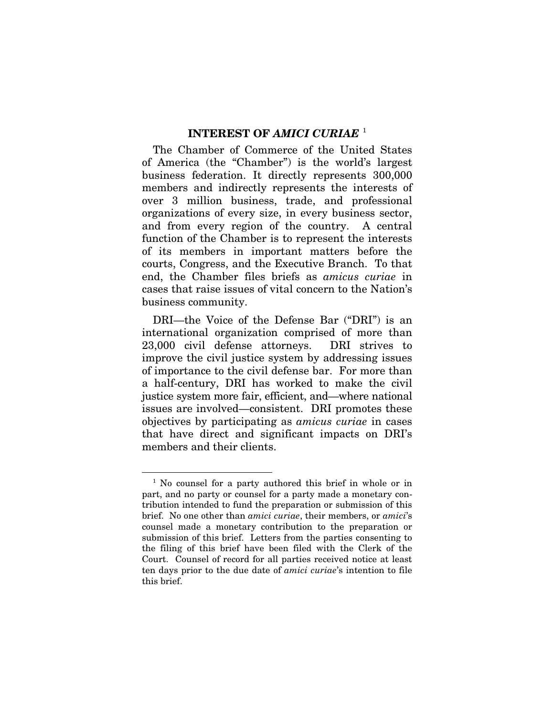### **INTEREST OF** *AMICI CURIAE* [1](#page-5-0)

The Chamber of Commerce of the United States of America (the "Chamber") is the world's largest business federation. It directly represents 300,000 members and indirectly represents the interests of over 3 million business, trade, and professional organizations of every size, in every business sector, and from every region of the country. A central function of the Chamber is to represent the interests of its members in important matters before the courts, Congress, and the Executive Branch. To that end, the Chamber files briefs as *amicus curiae* in cases that raise issues of vital concern to the Nation's business community.

DRI—the Voice of the Defense Bar ("DRI") is an international organization comprised of more than 23,000 civil defense attorneys. DRI strives to improve the civil justice system by addressing issues of importance to the civil defense bar. For more than a half-century, DRI has worked to make the civil justice system more fair, efficient, and—where national issues are involved—consistent. DRI promotes these objectives by participating as *amicus curiae* in cases that have direct and significant impacts on DRI's members and their clients.

<u>.</u>

<span id="page-5-0"></span><sup>&</sup>lt;sup>1</sup> No counsel for a party authored this brief in whole or in part, and no party or counsel for a party made a monetary contribution intended to fund the preparation or submission of this brief. No one other than *amici curiae*, their members, or *amici*'s counsel made a monetary contribution to the preparation or submission of this brief. Letters from the parties consenting to the filing of this brief have been filed with the Clerk of the Court. Counsel of record for all parties received notice at least ten days prior to the due date of *amici curiae*'s intention to file this brief.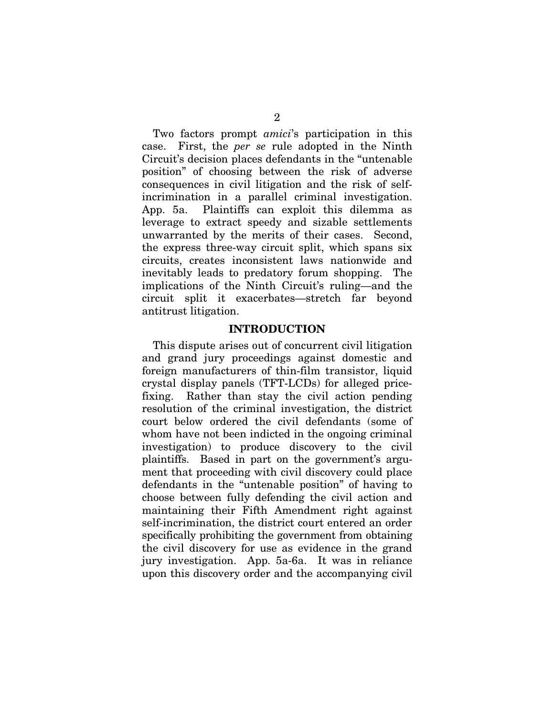Two factors prompt *amici*'s participation in this case. First, the *per se* rule adopted in the Ninth Circuit's decision places defendants in the "untenable position" of choosing between the risk of adverse consequences in civil litigation and the risk of selfincrimination in a parallel criminal investigation. App. 5a. Plaintiffs can exploit this dilemma as leverage to extract speedy and sizable settlements unwarranted by the merits of their cases. Second, the express three-way circuit split, which spans six circuits, creates inconsistent laws nationwide and inevitably leads to predatory forum shopping. The implications of the Ninth Circuit's ruling—and the circuit split it exacerbates—stretch far beyond antitrust litigation.

#### **INTRODUCTION**

This dispute arises out of concurrent civil litigation and grand jury proceedings against domestic and foreign manufacturers of thin-film transistor, liquid crystal display panels (TFT-LCDs) for alleged pricefixing. Rather than stay the civil action pending resolution of the criminal investigation, the district court below ordered the civil defendants (some of whom have not been indicted in the ongoing criminal investigation) to produce discovery to the civil plaintiffs. Based in part on the government's argument that proceeding with civil discovery could place defendants in the "untenable position" of having to choose between fully defending the civil action and maintaining their Fifth Amendment right against self-incrimination, the district court entered an order specifically prohibiting the government from obtaining the civil discovery for use as evidence in the grand jury investigation. App. 5a-6a. It was in reliance upon this discovery order and the accompanying civil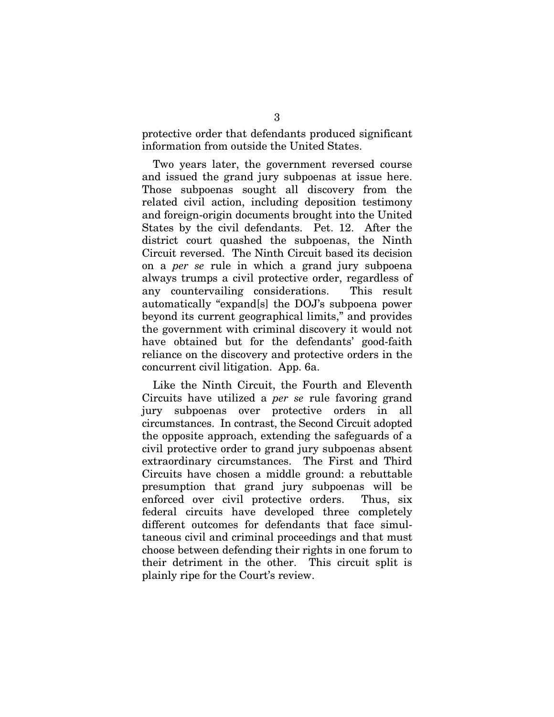protective order that defendants produced significant information from outside the United States.

Two years later, the government reversed course and issued the grand jury subpoenas at issue here. Those subpoenas sought all discovery from the related civil action, including deposition testimony and foreign-origin documents brought into the United States by the civil defendants. Pet. 12. After the district court quashed the subpoenas, the Ninth Circuit reversed. The Ninth Circuit based its decision on a *per se* rule in which a grand jury subpoena always trumps a civil protective order, regardless of any countervailing considerations. This result automatically "expand[s] the DOJ's subpoena power beyond its current geographical limits," and provides the government with criminal discovery it would not have obtained but for the defendants' good-faith reliance on the discovery and protective orders in the concurrent civil litigation. App. 6a.

Like the Ninth Circuit, the Fourth and Eleventh Circuits have utilized a *per se* rule favoring grand jury subpoenas over protective orders in all circumstances. In contrast, the Second Circuit adopted the opposite approach, extending the safeguards of a civil protective order to grand jury subpoenas absent extraordinary circumstances. The First and Third Circuits have chosen a middle ground: a rebuttable presumption that grand jury subpoenas will be enforced over civil protective orders. Thus, six federal circuits have developed three completely different outcomes for defendants that face simultaneous civil and criminal proceedings and that must choose between defending their rights in one forum to their detriment in the other. This circuit split is plainly ripe for the Court's review.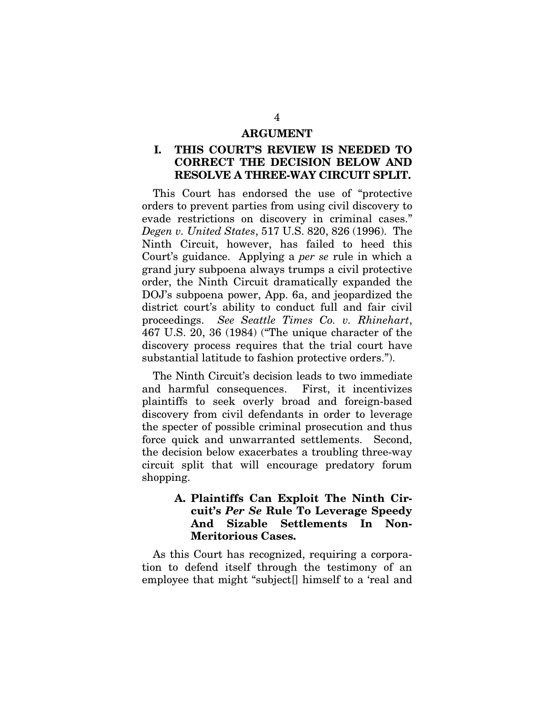#### **ARGUMENT**

## **I. THIS COURT'S REVIEW IS NEEDED TO CORRECT THE DECISION BELOW AND RESOLVE A THREE-WAY CIRCUIT SPLIT.**

This Court has endorsed the use of "protective orders to prevent parties from using civil discovery to evade restrictions on discovery in criminal cases." *Degen v. United States*, 517 U.S. 820, 826 (1996). The Ninth Circuit, however, has failed to heed this Court's guidance. Applying a *per se* rule in which a grand jury subpoena always trumps a civil protective order, the Ninth Circuit dramatically expanded the DOJ's subpoena power, App. 6a, and jeopardized the district court's ability to conduct full and fair civil proceedings. *See Seattle Times Co. v. Rhinehart*, 467 U.S. 20, 36 (1984) ("The unique character of the discovery process requires that the trial court have substantial latitude to fashion protective orders.").

The Ninth Circuit's decision leads to two immediate and harmful consequences. First, it incentivizes plaintiffs to seek overly broad and foreign-based discovery from civil defendants in order to leverage the specter of possible criminal prosecution and thus force quick and unwarranted settlements. Second, the decision below exacerbates a troubling three-way circuit split that will encourage predatory forum shopping.

## **A. Plaintiffs Can Exploit The Ninth Circuit's** *Per Se* **Rule To Leverage Speedy And Sizable Settlements In Non-Meritorious Cases.**

As this Court has recognized, requiring a corporation to defend itself through the testimony of an employee that might "subject[] himself to a 'real and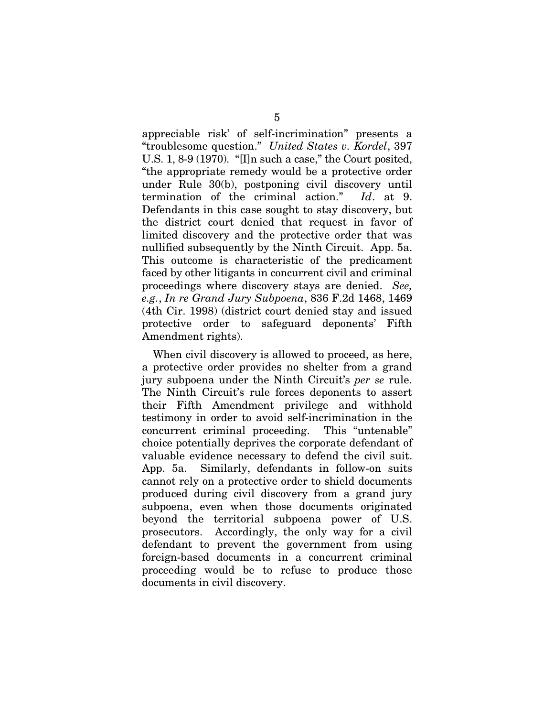appreciable risk' of self-incrimination" presents a "troublesome question." *United States v. Kordel*, 397 U.S. 1, 8-9 (1970). "[I]n such a case," the Court posited, "the appropriate remedy would be a protective order under Rule 30(b), postponing civil discovery until termination of the criminal action." *Id*. at 9. Defendants in this case sought to stay discovery, but the district court denied that request in favor of limited discovery and the protective order that was nullified subsequently by the Ninth Circuit. App. 5a. This outcome is characteristic of the predicament faced by other litigants in concurrent civil and criminal proceedings where discovery stays are denied. *See, e.g.*, *In re Grand Jury Subpoena*, 836 F.2d 1468, 1469 (4th Cir. 1998) (district court denied stay and issued protective order to safeguard deponents' Fifth Amendment rights).

When civil discovery is allowed to proceed, as here, a protective order provides no shelter from a grand jury subpoena under the Ninth Circuit's *per se* rule. The Ninth Circuit's rule forces deponents to assert their Fifth Amendment privilege and withhold testimony in order to avoid self-incrimination in the concurrent criminal proceeding. This "untenable" choice potentially deprives the corporate defendant of valuable evidence necessary to defend the civil suit. App. 5a. Similarly, defendants in follow-on suits cannot rely on a protective order to shield documents produced during civil discovery from a grand jury subpoena, even when those documents originated beyond the territorial subpoena power of U.S. prosecutors. Accordingly, the only way for a civil defendant to prevent the government from using foreign-based documents in a concurrent criminal proceeding would be to refuse to produce those documents in civil discovery.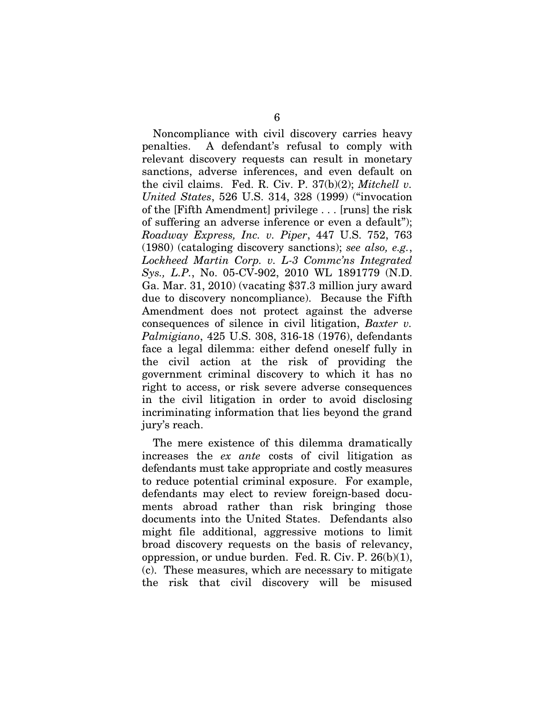Noncompliance with civil discovery carries heavy penalties. A defendant's refusal to comply with relevant discovery requests can result in monetary sanctions, adverse inferences, and even default on the civil claims. Fed. R. Civ. P. 37(b)(2); *Mitchell v. United States*, 526 U.S. 314, 328 (1999) ("invocation of the [Fifth Amendment] privilege . . . [runs] the risk of suffering an adverse inference or even a default"); *Roadway Express, Inc. v. Piper*, 447 U.S. 752, 763 (1980) (cataloging discovery sanctions); *see also, e.g.*, *Lockheed Martin Corp. v. L-3 Commc'ns Integrated Sys., L.P.*, No. 05-CV-902, 2010 WL 1891779 (N.D. Ga. Mar. 31, 2010) (vacating \$37.3 million jury award due to discovery noncompliance). Because the Fifth Amendment does not protect against the adverse consequences of silence in civil litigation, *Baxter v. Palmigiano*, 425 U.S. 308, 316-18 (1976), defendants face a legal dilemma: either defend oneself fully in the civil action at the risk of providing the government criminal discovery to which it has no right to access, or risk severe adverse consequences in the civil litigation in order to avoid disclosing incriminating information that lies beyond the grand jury's reach.

The mere existence of this dilemma dramatically increases the *ex ante* costs of civil litigation as defendants must take appropriate and costly measures to reduce potential criminal exposure. For example, defendants may elect to review foreign-based documents abroad rather than risk bringing those documents into the United States. Defendants also might file additional, aggressive motions to limit broad discovery requests on the basis of relevancy, oppression, or undue burden. Fed. R. Civ. P.  $26(b)(1)$ , (c). These measures, which are necessary to mitigate the risk that civil discovery will be misused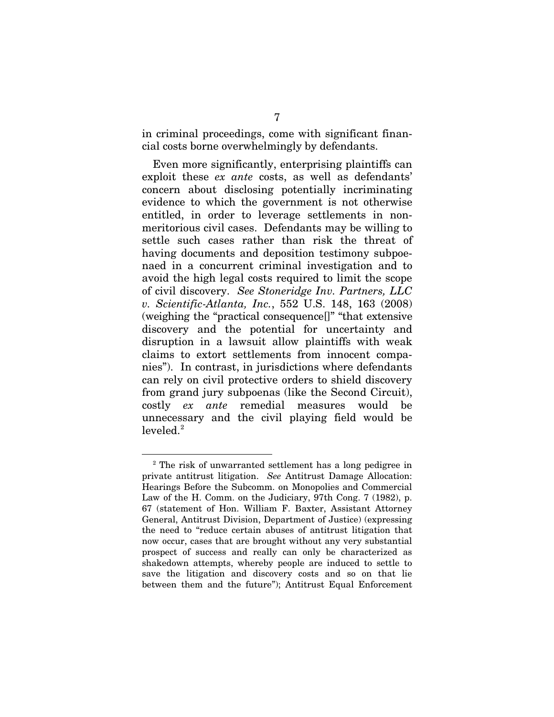in criminal proceedings, come with significant financial costs borne overwhelmingly by defendants.

Even more significantly, enterprising plaintiffs can exploit these *ex ante* costs, as well as defendants' concern about disclosing potentially incriminating evidence to which the government is not otherwise entitled, in order to leverage settlements in nonmeritorious civil cases. Defendants may be willing to settle such cases rather than risk the threat of having documents and deposition testimony subpoenaed in a concurrent criminal investigation and to avoid the high legal costs required to limit the scope of civil discovery. *See Stoneridge Inv. Partners, LLC v. Scientific-Atlanta, Inc.*, 552 U.S. 148, 163 (2008) (weighing the "practical consequence[]" "that extensive discovery and the potential for uncertainty and disruption in a lawsuit allow plaintiffs with weak claims to extort settlements from innocent companies"). In contrast, in jurisdictions where defendants can rely on civil protective orders to shield discovery from grand jury subpoenas (like the Second Circuit), costly *ex ante* remedial measures would be unnecessary and the civil playing field would be  $leveled<sup>2</sup>$  $leveled<sup>2</sup>$  $leveled<sup>2</sup>$ 

-

<span id="page-11-0"></span><sup>2</sup> The risk of unwarranted settlement has a long pedigree in private antitrust litigation. *See* Antitrust Damage Allocation: Hearings Before the Subcomm. on Monopolies and Commercial Law of the H. Comm. on the Judiciary, 97th Cong. 7 (1982), p. 67 (statement of Hon. William F. Baxter, Assistant Attorney General, Antitrust Division, Department of Justice) (expressing the need to "reduce certain abuses of antitrust litigation that now occur, cases that are brought without any very substantial prospect of success and really can only be characterized as shakedown attempts, whereby people are induced to settle to save the litigation and discovery costs and so on that lie between them and the future"); Antitrust Equal Enforcement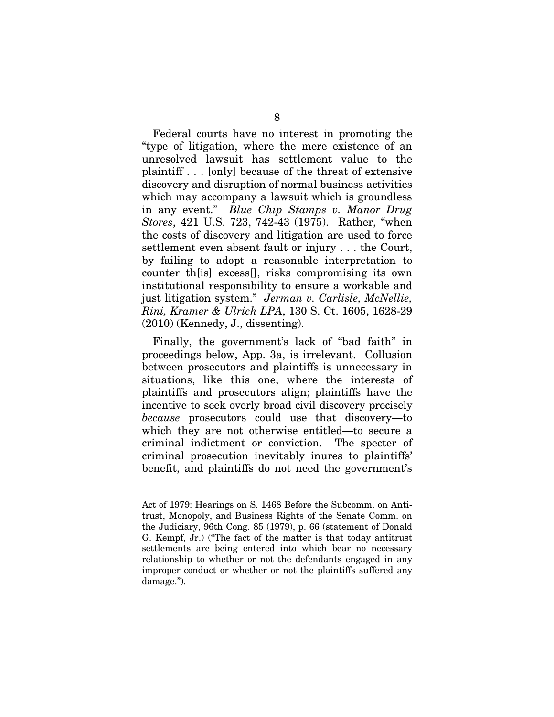Federal courts have no interest in promoting the "type of litigation, where the mere existence of an unresolved lawsuit has settlement value to the plaintiff . . . [only] because of the threat of extensive discovery and disruption of normal business activities which may accompany a lawsuit which is groundless in any event." *Blue Chip Stamps v. Manor Drug Stores*, 421 U.S. 723, 742-43 (1975). Rather, "when the costs of discovery and litigation are used to force settlement even absent fault or injury . . . the Court, by failing to adopt a reasonable interpretation to counter th[is] excess[], risks compromising its own institutional responsibility to ensure a workable and just litigation system." *Jerman v. Carlisle, McNellie, Rini, Kramer & Ulrich LPA*, 130 S. Ct. 1605, 1628-29 (2010) (Kennedy, J., dissenting).

Finally, the government's lack of "bad faith" in proceedings below, App. 3a, is irrelevant. Collusion between prosecutors and plaintiffs is unnecessary in situations, like this one, where the interests of plaintiffs and prosecutors align; plaintiffs have the incentive to seek overly broad civil discovery precisely *because* prosecutors could use that discovery—to which they are not otherwise entitled—to secure a criminal indictment or conviction. The specter of criminal prosecution inevitably inures to plaintiffs' benefit, and plaintiffs do not need the government's

<u>.</u>

Act of 1979: Hearings on S. 1468 Before the Subcomm. on Antitrust, Monopoly, and Business Rights of the Senate Comm. on the Judiciary, 96th Cong. 85 (1979), p. 66 (statement of Donald G. Kempf, Jr.) ("The fact of the matter is that today antitrust settlements are being entered into which bear no necessary relationship to whether or not the defendants engaged in any improper conduct or whether or not the plaintiffs suffered any damage.").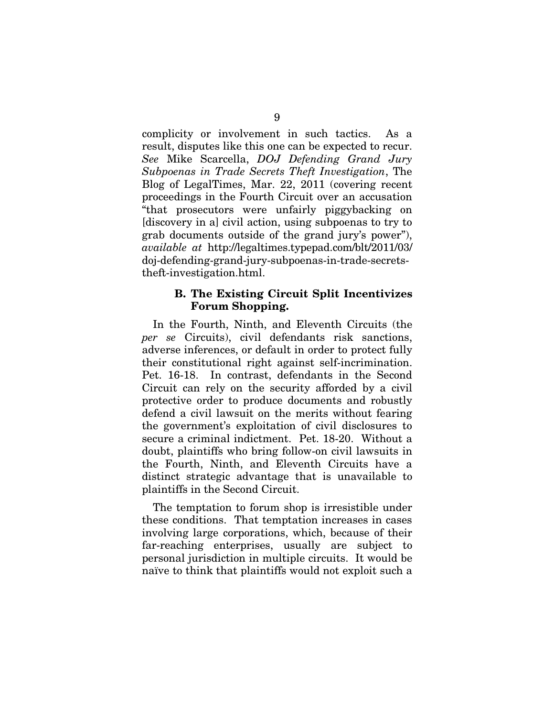complicity or involvement in such tactics. As a result, disputes like this one can be expected to recur. *See* Mike Scarcella, *DOJ Defending Grand Jury Subpoenas in Trade Secrets Theft Investigation*, The Blog of LegalTimes, Mar. 22, 2011 (covering recent proceedings in the Fourth Circuit over an accusation "that prosecutors were unfairly piggybacking on [discovery in a] civil action, using subpoenas to try to grab documents outside of the grand jury's power"), *available at* [http://legaltimes.typepad.com/blt/2](http://legaltimes.typepad.com/blt/)011/03/ doj-defending-grand-jury-subpoenas-in-trade-secretstheft-investigation.html.

### **B. The Existing Circuit Split Incentivizes Forum Shopping.**

In the Fourth, Ninth, and Eleventh Circuits (the *per se* Circuits), civil defendants risk sanctions, adverse inferences, or default in order to protect fully their constitutional right against self-incrimination. Pet. 16-18. In contrast, defendants in the Second Circuit can rely on the security afforded by a civil protective order to produce documents and robustly defend a civil lawsuit on the merits without fearing the government's exploitation of civil disclosures to secure a criminal indictment. Pet. 18-20. Without a doubt, plaintiffs who bring follow-on civil lawsuits in the Fourth, Ninth, and Eleventh Circuits have a distinct strategic advantage that is unavailable to plaintiffs in the Second Circuit.

The temptation to forum shop is irresistible under these conditions. That temptation increases in cases involving large corporations, which, because of their far-reaching enterprises, usually are subject to personal jurisdiction in multiple circuits. It would be naïve to think that plaintiffs would not exploit such a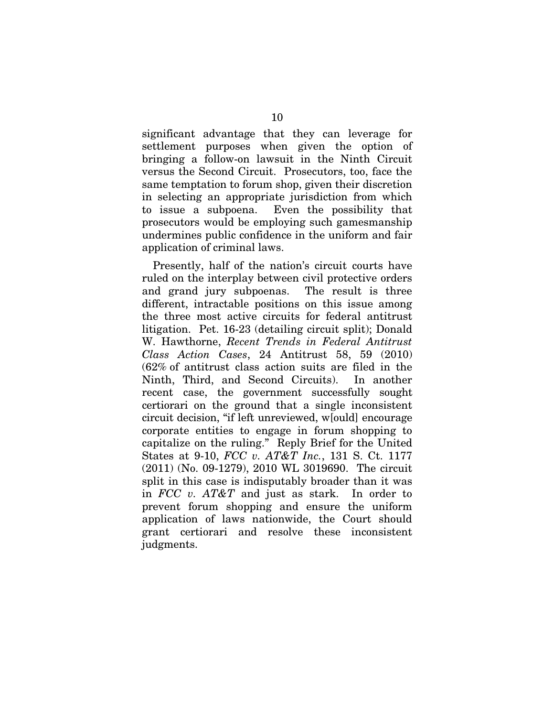significant advantage that they can leverage for settlement purposes when given the option of bringing a follow-on lawsuit in the Ninth Circuit versus the Second Circuit. Prosecutors, too, face the same temptation to forum shop, given their discretion in selecting an appropriate jurisdiction from which to issue a subpoena. Even the possibility that prosecutors would be employing such gamesmanship undermines public confidence in the uniform and fair application of criminal laws.

Presently, half of the nation's circuit courts have ruled on the interplay between civil protective orders and grand jury subpoenas. The result is three different, intractable positions on this issue among the three most active circuits for federal antitrust litigation. Pet. 16-23 (detailing circuit split); Donald W. Hawthorne, *Recent Trends in Federal Antitrust Class Action Cases*, 24 Antitrust 58, 59 (2010) (62% of antitrust class action suits are filed in the Ninth, Third, and Second Circuits). In another recent case, the government successfully sought certiorari on the ground that a single inconsistent circuit decision, "if left unreviewed, w[ould] encourage corporate entities to engage in forum shopping to capitalize on the ruling." Reply Brief for the United States at 9-10, *FCC v. AT&T Inc.*, 131 S. Ct. 1177 (2011) (No. 09-1279), 2010 WL 3019690. The circuit split in this case is indisputably broader than it was in *FCC v. AT&T* and just as stark. In order to prevent forum shopping and ensure the uniform application of laws nationwide, the Court should grant certiorari and resolve these inconsistent judgments.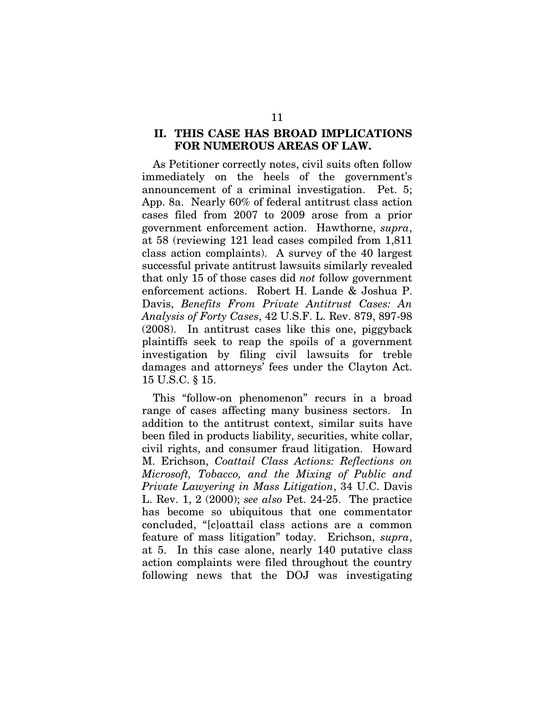### **II. THIS CASE HAS BROAD IMPLICATIONS FOR NUMEROUS AREAS OF LAW.**

As Petitioner correctly notes, civil suits often follow immediately on the heels of the government's announcement of a criminal investigation. Pet. 5; App. 8a. Nearly 60% of federal antitrust class action cases filed from 2007 to 2009 arose from a prior government enforcement action. Hawthorne, *supra*, at 58 (reviewing 121 lead cases compiled from 1,811 class action complaints). A survey of the 40 largest successful private antitrust lawsuits similarly revealed that only 15 of those cases did *not* follow government enforcement actions. Robert H. Lande & Joshua P. Davis, *Benefits From Private Antitrust Cases: An Analysis of Forty Cases*, 42 U.S.F. L. Rev. 879, 897-98 (2008). In antitrust cases like this one, piggyback plaintiffs seek to reap the spoils of a government investigation by filing civil lawsuits for treble damages and attorneys' fees under the Clayton Act. 15 U.S.C. § 15.

This "follow-on phenomenon" recurs in a broad range of cases affecting many business sectors. In addition to the antitrust context, similar suits have been filed in products liability, securities, white collar, civil rights, and consumer fraud litigation. Howard M. Erichson, *Coattail Class Actions: Reflections on Microsoft, Tobacco, and the Mixing of Public and Private Lawyering in Mass Litigation*, 34 U.C. Davis L. Rev. 1, 2 (2000); *see also* Pet. 24-25. The practice has become so ubiquitous that one commentator concluded, "[c]oattail class actions are a common feature of mass litigation" today. Erichson, *supra*, at 5. In this case alone, nearly 140 putative class action complaints were filed throughout the country following news that the DOJ was investigating